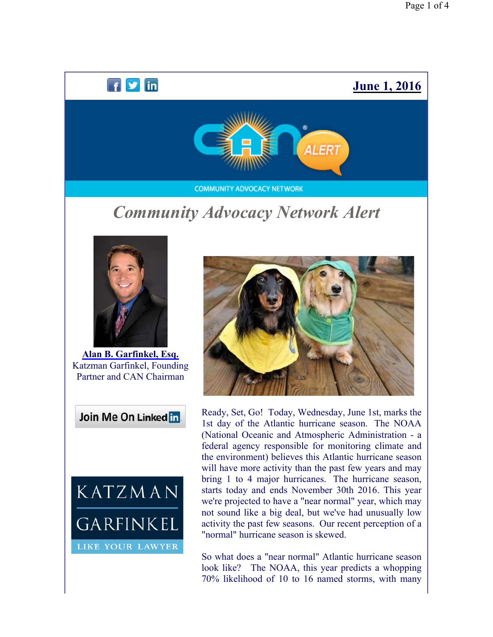# $f \times in$ **June 1, 2016** ALERT **COMMUNITY ADVOCACY NETWORK** *Community Advocacy Network Alert*



**Alan B. Garfinkel, Esq.** Katzman Garfinkel, Founding Partner and CAN Chairman

Join Me On Linked in





Ready, Set, Go! Today, Wednesday, June 1st, marks the 1st day of the Atlantic hurricane season. The NOAA (National Oceanic and Atmospheric Administration - a federal agency responsible for monitoring climate and the environment) believes this Atlantic hurricane season will have more activity than the past few years and may bring 1 to 4 major hurricanes. The hurricane season, starts today and ends November 30th 2016. This year we're projected to have a "near normal" year, which may not sound like a big deal, but we've had unusually low activity the past few seasons. Our recent perception of a "normal" hurricane season is skewed.

So what does a "near normal" Atlantic hurricane season look like? The NOAA, this year predicts a whopping 70% likelihood of 10 to 16 named storms, with many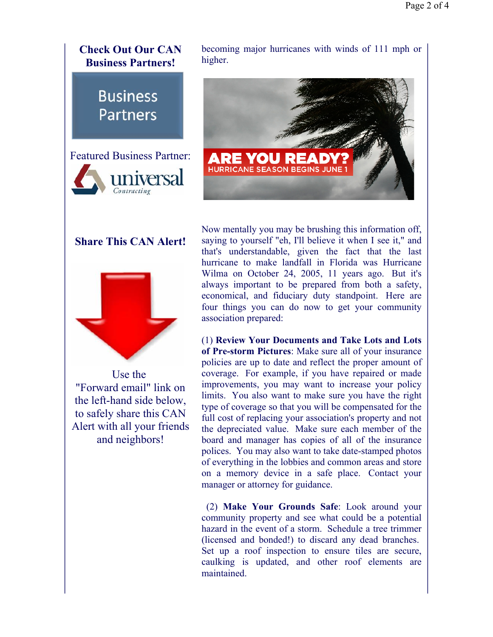

**Business Partners** 



### **Share This CAN Alert!**



Use the "Forward email" link on the left-hand side below, to safely share this CAN Alert with all your friends and neighbors!

Now mentally you may be brushing this information off, saying to yourself "eh, I'll believe it when I see it," and that's understandable, given the fact that the last hurricane to make landfall in Florida was Hurricane Wilma on October 24, 2005, 11 years ago. But it's always important to be prepared from both a safety, economical, and fiduciary duty standpoint. Here are four things you can do now to get your community association prepared:

(1) **Review Your Documents and Take Lots and Lots of Pre-storm Pictures**: Make sure all of your insurance policies are up to date and reflect the proper amount of coverage. For example, if you have repaired or made improvements, you may want to increase your policy limits. You also want to make sure you have the right type of coverage so that you will be compensated for the full cost of replacing your association's property and not the depreciated value. Make sure each member of the board and manager has copies of all of the insurance polices. You may also want to take date-stamped photos of everything in the lobbies and common areas and store on a memory device in a safe place. Contact your manager or attorney for guidance.

 (2) **Make Your Grounds Safe**: Look around your community property and see what could be a potential hazard in the event of a storm. Schedule a tree trimmer (licensed and bonded!) to discard any dead branches. Set up a roof inspection to ensure tiles are secure, caulking is updated, and other roof elements are maintained.

becoming major hurricanes with winds of 111 mph or higher.

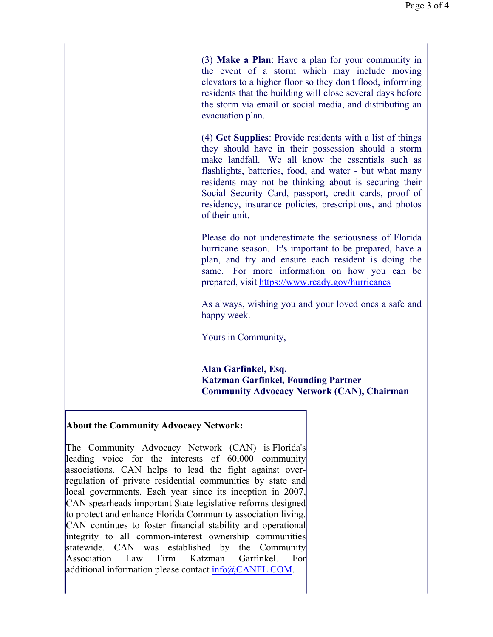(3) **Make a Plan**: Have a plan for your community in the event of a storm which may include moving elevators to a higher floor so they don't flood, informing residents that the building will close several days before the storm via email or social media, and distributing an evacuation plan.

(4) **Get Supplies**: Provide residents with a list of things they should have in their possession should a storm make landfall. We all know the essentials such as flashlights, batteries, food, and water - but what many residents may not be thinking about is securing their Social Security Card, passport, credit cards, proof of residency, insurance policies, prescriptions, and photos of their unit.

Please do not underestimate the seriousness of Florida hurricane season. It's important to be prepared, have a plan, and try and ensure each resident is doing the same. For more information on how you can be prepared, visit https://www.ready.gov/hurricanes

As always, wishing you and your loved ones a safe and happy week.

Yours in Community,

**Alan Garfinkel, Esq. Katzman Garfinkel, Founding Partner Community Advocacy Network (CAN), Chairman**

#### **About the Community Advocacy Network:**

The Community Advocacy Network (CAN) is Florida's leading voice for the interests of 60,000 community associations. CAN helps to lead the fight against overregulation of private residential communities by state and local governments. Each year since its inception in 2007, CAN spearheads important State legislative reforms designed to protect and enhance Florida Community association living. CAN continues to foster financial stability and operational integrity to all common-interest ownership communities statewide. CAN was established by the Community Association Law Firm Katzman Garfinkel. For additional information please contact  $info@CANFL$ . COM.